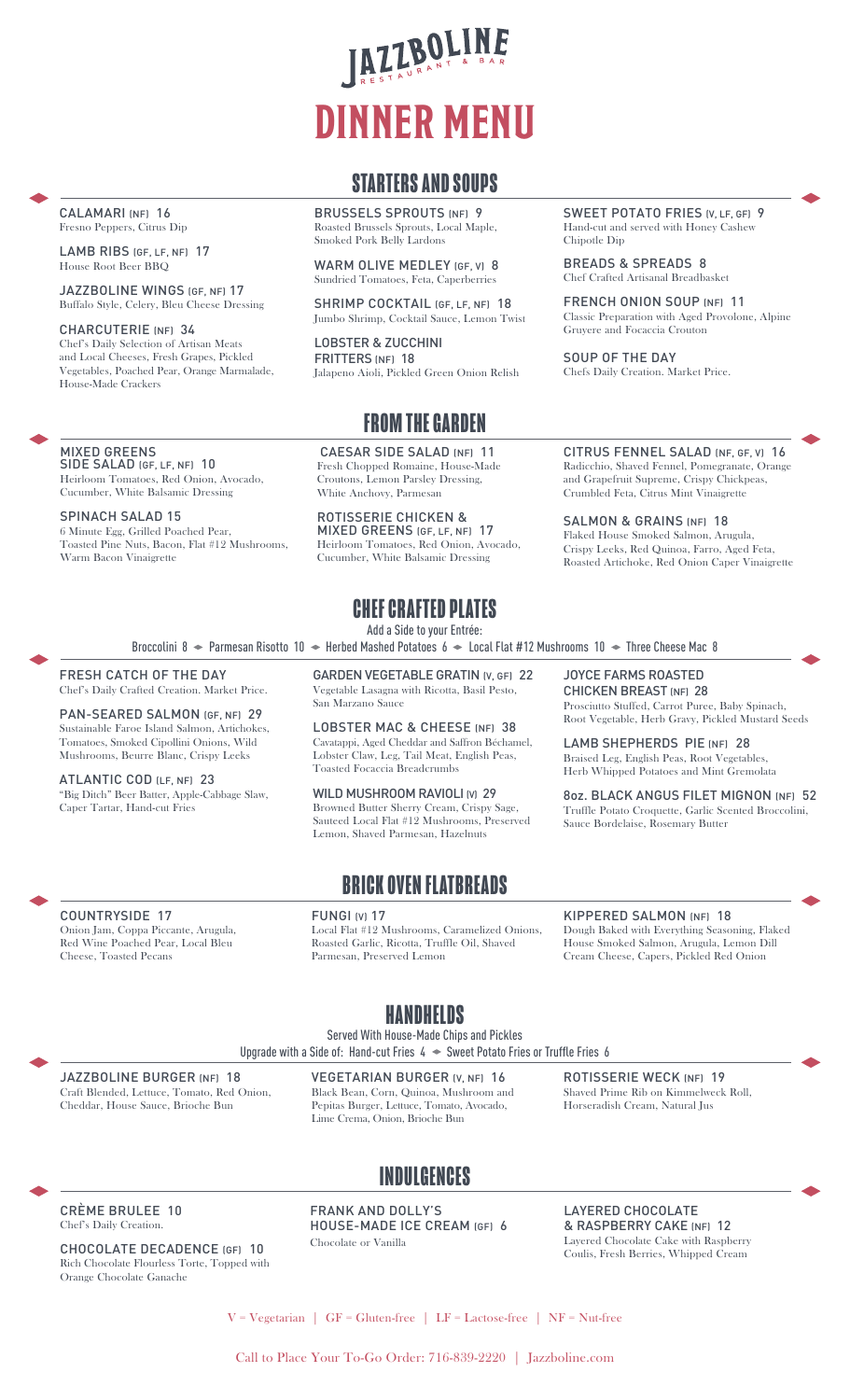# IAZZBOLINE **DINNER MENU**

## **STARTERS AND SOUPS**

BRUSSELS SPROUTS (NF) 9 Roasted Brussels Sprouts, Local Maple, Smoked Pork Belly Lardons

WARM OLIVE MEDLEY (GF, V) 8 Sundried Tomatoes, Feta, Caperberries

SHRIMP COCKTAIL (GF, LF, NF) 18 Jumbo Shrimp, Cocktail Sauce, Lemon Twist

LOBSTER & ZUCCHINI FRITTERS (NF) 18 Jalapeno Aioli, Pickled Green Onion Relish

# **FROM THE GARDEN**

CAESAR SIDE SALAD (NF) 11 Fresh Chopped Romaine, House-Made Croutons, Lemon Parsley Dressing, White Anchovy, Parmesan

ROTISSERIE CHICKEN & MIXED GREENS (GF, LF, NF) 17 Heirloom Tomatoes, Red Onion, Avocado, Cucumber, White Balsamic Dressing

# **CHEF CRAFTED PLATES**

Add a Side to your Entrée:

Broccolini 8  $\bullet$  Parmesan Risotto 10  $\bullet$  Herbed Mashed Potatoes 6  $\bullet$  Local Flat #12 Mushrooms 10  $\bullet$  Three Cheese Mac 8

FRESH CATCH OF THE DAY Chef's Daily Crafted Creation. Market Price.

PAN-SEARED SALMON (GF, NF) 29 Sustainable Faroe Island Salmon, Artichokes, Tomatoes, Smoked Cipollini Onions, Wild Mushrooms, Beurre Blanc, Crispy Leeks

ATLANTIC COD (LF, NF) 23 "Big Ditch" Beer Batter, Apple-Cabbage Slaw, Caper Tartar, Hand-cut Fries

GARDEN VEGETABLE GRATIN (V, GF) 22 Vegetable Lasagna with Ricotta, Basil Pesto, San Marzano Sauce

LOBSTER MAC & CHEESE (NF) 38 Cavatappi, Aged Cheddar and Saffron Béchamel, Lobster Claw, Leg, Tail Meat, English Peas, Toasted Focaccia Breadcrumbs

WILD MUSHROOM RAVIOLI (V) 29 Browned Butter Sherry Cream, Crispy Sage, Sauteed Local Flat #12 Mushrooms, Preserved Lemon, Shaved Parmesan, Hazelnuts

## **BRICK OVEN FLATBREADS**

#### FUNGI (V) 17

Local Flat #12 Mushrooms, Caramelized Onions, Roasted Garlic, Ricotta, Truffle Oil, Shaved Parmesan, Preserved Lemon

SWEET POTATO FRIES (V, LF, GF) 9 Hand-cut and served with Honey Cashew Chipotle Dip

BREADS & SPREADS 8 Chef Crafted Artisanal Breadbasket

FRENCH ONION SOUP (NF) 11 Classic Preparation with Aged Provolone, Alpine Gruyere and Focaccia Crouton

SOUP OF THE DAY Chefs Daily Creation. Market Price.

CITRUS FENNEL SALAD (NF, GF, V) 16 Radicchio, Shaved Fennel, Pomegranate, Orange and Grapefruit Supreme, Crispy Chickpeas, Crumbled Feta, Citrus Mint Vinaigrette

SALMON & GRAINS (NF) 18 Flaked House Smoked Salmon, Arugula, Crispy Leeks, Red Quinoa, Farro, Aged Feta, Roasted Artichoke, Red Onion Caper Vinaigrette

JOYCE FARMS ROASTED CHICKEN BREAST (NF) 28

Prosciutto Stuffed, Carrot Puree, Baby Spinach, Root Vegetable, Herb Gravy, Pickled Mustard Seeds

LAMB SHEPHERDS PIE (NF) 28 Braised Leg, English Peas, Root Vegetables, Herb Whipped Potatoes and Mint Gremolata

8oz. BLACK ANGUS FILET MIGNON (NF) 52 Truffle Potato Croquette, Garlic Scented Broccolini, Sauce Bordelaise, Rosemary Butter

COUNTRYSIDE 17

Onion Jam, Coppa Piccante, Arugula, Red Wine Poached Pear, Local Bleu Cheese, Toasted Pecans

**HANDHELDS**

Served With House-Made Chips and Pickles

Upgrade with a Side of: Hand-cut Fries  $4 \leftrightarrow$  Sweet Potato Fries or Truffle Fries 6

JAZZBOLINE BURGER (NF) 18 Craft Blended, Lettuce, Tomato, Red Onion, Cheddar, House Sauce, Brioche Bun

VEGETARIAN BURGER (V, NF) 16 Black Bean, Corn, Quinoa, Mushroom and Pepitas Burger, Lettuce, Tomato, Avocado, Lime Crema, Onion, Brioche Bun

ROTISSERIE WECK (NF) 19 Shaved Prime Rib on Kimmelweck Roll, Horseradish Cream, Natural Jus

KIPPERED SALMON (NF) 18

Dough Baked with Everything Seasoning, Flaked House Smoked Salmon, Arugula, Lemon Dill Cream Cheese, Capers, Pickled Red Onion

# **INDULGENCES**

CRÈME BRULEE 10 Chef's Daily Creation.

CHOCOLATE DECADENCE (GF) 10 Rich Chocolate Flourless Torte, Topped with Orange Chocolate Ganache

FRANK AND DOLLY'S HOUSE-MADE ICE CREAM (GF) 6 Chocolate or Vanilla

LAYERED CHOCOLATE & RASPBERRY CAKE (NF) 12 Layered Chocolate Cake with Raspberry Coulis, Fresh Berries, Whipped Cream

 $V = Vegetarian$  | GF = Gluten-free | LF = Lactose-free | NF = Nut-free

Call to Place Your To-Go Order: 716-839-2220 | Jazzboline.com

#### CALAMARI (NF) 16 Fresno Peppers, Citrus Dip

LAMB RIBS (GF, LF, NF) 17 House Root Beer BBQ

JAZZBOLINE WINGS (GF, NF) 17 Buffalo Style, Celery, Bleu Cheese Dressing

CHARCUTERIE (NF) 34 Chef's Daily Selection of Artisan Meats and Local Cheeses, Fresh Grapes, Pickled Vegetables, Poached Pear, Orange Marmalade, House-Made Crackers

MIXED GREENS SIDE SALAD (GF, LF, NF) 10 Heirloom Tomatoes, Red Onion, Avocado, Cucumber, White Balsamic Dressing

SPINACH SALAD 15

6 Minute Egg, Grilled Poached Pear, Toasted Pine Nuts, Bacon, Flat #12 Mushrooms, Warm Bacon Vinaigrette